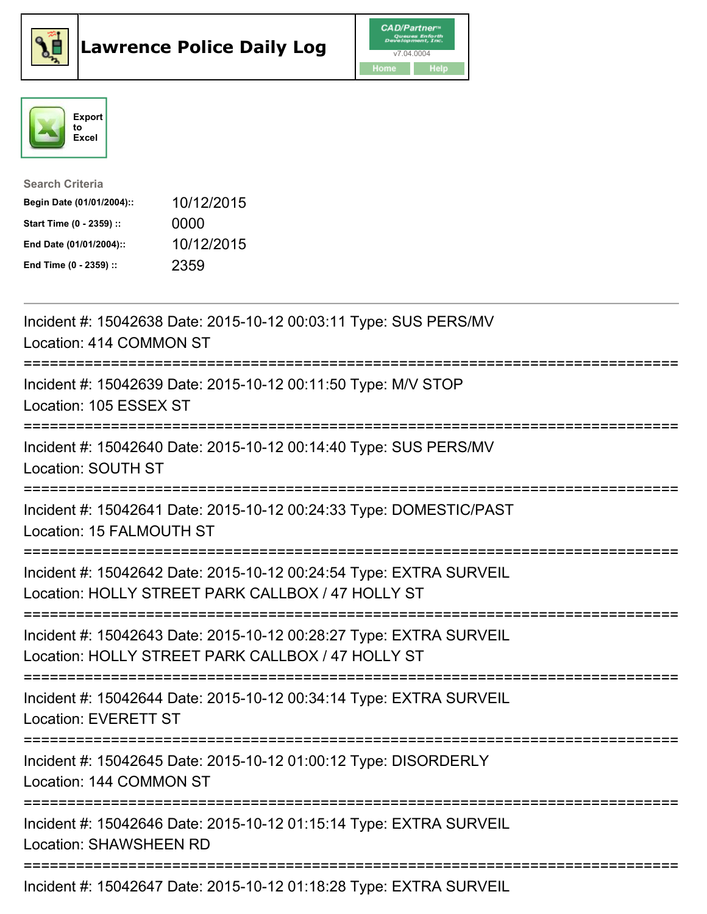





| <b>Search Criteria</b>    |            |
|---------------------------|------------|
| Begin Date (01/01/2004):: | 10/12/2015 |
| Start Time (0 - 2359) ::  | 0000       |
| End Date (01/01/2004)::   | 10/12/2015 |
| End Time (0 - 2359) ::    | 2359       |

| Incident #: 15042638 Date: 2015-10-12 00:03:11 Type: SUS PERS/MV<br>Location: 414 COMMON ST                                                                    |
|----------------------------------------------------------------------------------------------------------------------------------------------------------------|
| Incident #: 15042639 Date: 2015-10-12 00:11:50 Type: M/V STOP<br>Location: 105 ESSEX ST                                                                        |
| Incident #: 15042640 Date: 2015-10-12 00:14:40 Type: SUS PERS/MV<br>Location: SOUTH ST<br>==========                                                           |
| Incident #: 15042641 Date: 2015-10-12 00:24:33 Type: DOMESTIC/PAST<br>Location: 15 FALMOUTH ST<br>--------------------                                         |
| Incident #: 15042642 Date: 2015-10-12 00:24:54 Type: EXTRA SURVEIL<br>Location: HOLLY STREET PARK CALLBOX / 47 HOLLY ST<br>:=============================      |
| Incident #: 15042643 Date: 2015-10-12 00:28:27 Type: EXTRA SURVEIL<br>Location: HOLLY STREET PARK CALLBOX / 47 HOLLY ST<br>:================================== |
| Incident #: 15042644 Date: 2015-10-12 00:34:14 Type: EXTRA SURVEIL<br><b>Location: EVERETT ST</b>                                                              |
| Incident #: 15042645 Date: 2015-10-12 01:00:12 Type: DISORDERLY<br>Location: 144 COMMON ST                                                                     |
| Incident #: 15042646 Date: 2015-10-12 01:15:14 Type: EXTRA SURVEIL<br><b>Location: SHAWSHEEN RD</b>                                                            |
| Incident #: 15042647 Date: 2015-10-12 01:18:28 Type: EXTRA SURVEIL                                                                                             |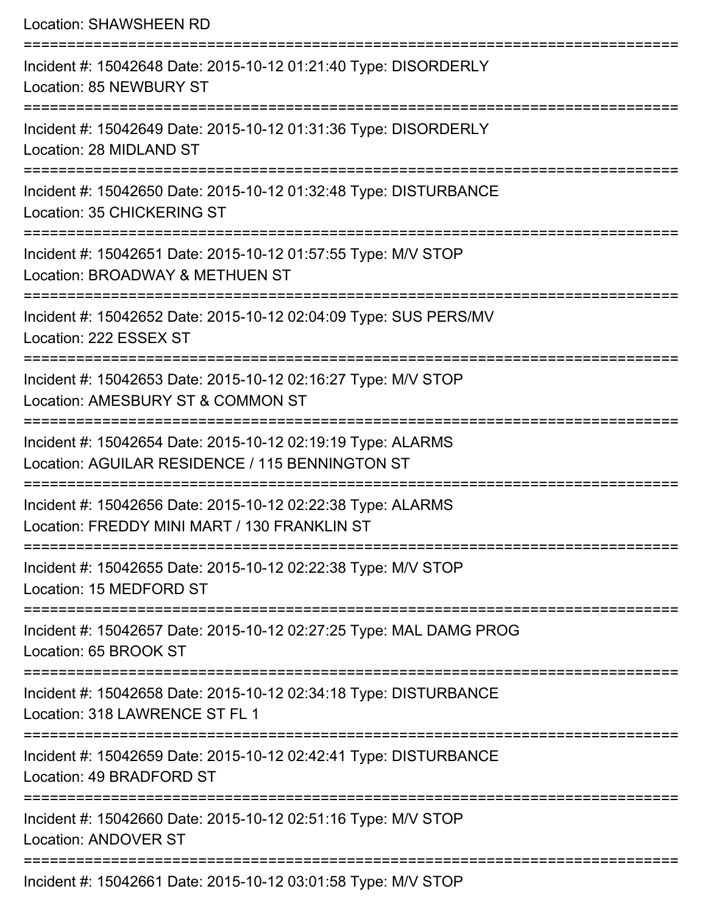Location: SHAWSHEEN RD =========================================================================== Incident #: 15042648 Date: 2015-10-12 01:21:40 Type: DISORDERLY Location: 85 NEWBURY ST =========================================================================== Incident #: 15042649 Date: 2015-10-12 01:31:36 Type: DISORDERLY Location: 28 MIDLAND ST =========================================================================== Incident #: 15042650 Date: 2015-10-12 01:32:48 Type: DISTURBANCE Location: 35 CHICKERING ST =========================================================================== Incident #: 15042651 Date: 2015-10-12 01:57:55 Type: M/V STOP Location: BROADWAY & METHUEN ST =========================================================================== Incident #: 15042652 Date: 2015-10-12 02:04:09 Type: SUS PERS/MV Location: 222 ESSEX ST =========================================================================== Incident #: 15042653 Date: 2015-10-12 02:16:27 Type: M/V STOP Location: AMESBURY ST & COMMON ST =========================================================================== Incident #: 15042654 Date: 2015-10-12 02:19:19 Type: ALARMS Location: AGUILAR RESIDENCE / 115 BENNINGTON ST =========================================================================== Incident #: 15042656 Date: 2015-10-12 02:22:38 Type: ALARMS Location: FREDDY MINI MART / 130 FRANKLIN ST =========================================================================== Incident #: 15042655 Date: 2015-10-12 02:22:38 Type: M/V STOP Location: 15 MEDFORD ST =========================================================================== Incident #: 15042657 Date: 2015-10-12 02:27:25 Type: MAL DAMG PROG Location: 65 BROOK ST =========================================================================== Incident #: 15042658 Date: 2015-10-12 02:34:18 Type: DISTURBANCE Location: 318 LAWRENCE ST FL 1 =========================================================================== Incident #: 15042659 Date: 2015-10-12 02:42:41 Type: DISTURBANCE Location: 49 BRADFORD ST =========================================================================== Incident #: 15042660 Date: 2015-10-12 02:51:16 Type: M/V STOP Location: ANDOVER ST =========================================================================== Incident #: 15042661 Date: 2015-10-12 03:01:58 Type: M/V STOP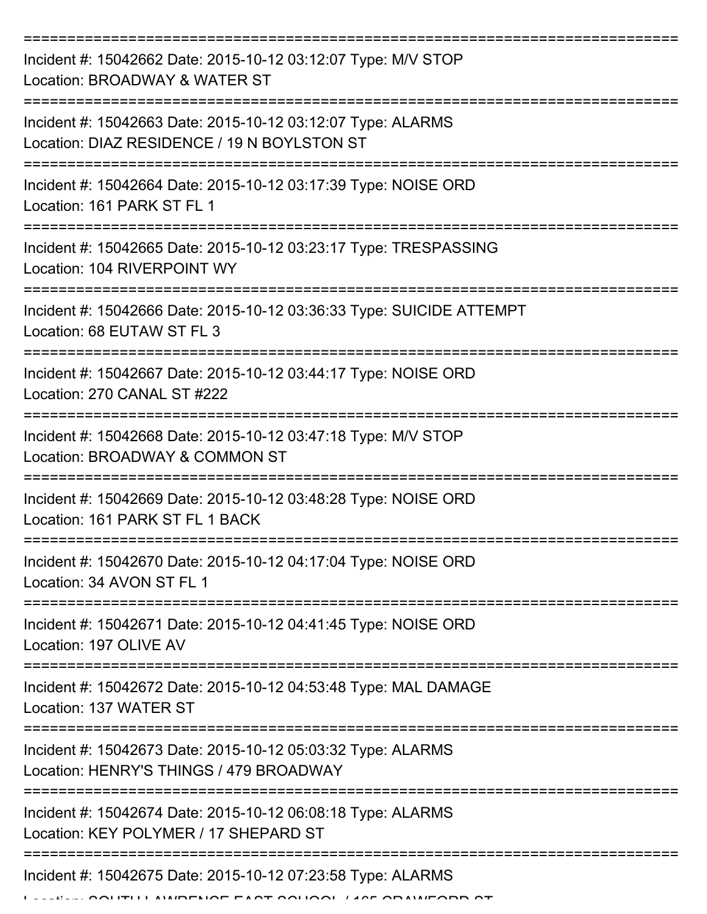| Incident #: 15042662 Date: 2015-10-12 03:12:07 Type: M/V STOP<br>Location: BROADWAY & WATER ST             |
|------------------------------------------------------------------------------------------------------------|
| Incident #: 15042663 Date: 2015-10-12 03:12:07 Type: ALARMS<br>Location: DIAZ RESIDENCE / 19 N BOYLSTON ST |
| Incident #: 15042664 Date: 2015-10-12 03:17:39 Type: NOISE ORD<br>Location: 161 PARK ST FL 1               |
| Incident #: 15042665 Date: 2015-10-12 03:23:17 Type: TRESPASSING<br>Location: 104 RIVERPOINT WY            |
| Incident #: 15042666 Date: 2015-10-12 03:36:33 Type: SUICIDE ATTEMPT<br>Location: 68 EUTAW ST FL 3         |
| Incident #: 15042667 Date: 2015-10-12 03:44:17 Type: NOISE ORD<br>Location: 270 CANAL ST #222              |
| Incident #: 15042668 Date: 2015-10-12 03:47:18 Type: M/V STOP<br>Location: BROADWAY & COMMON ST            |
| Incident #: 15042669 Date: 2015-10-12 03:48:28 Type: NOISE ORD<br>Location: 161 PARK ST FL 1 BACK          |
| Incident #: 15042670 Date: 2015-10-12 04:17:04 Type: NOISE ORD<br>Location: 34 AVON ST FL 1                |
| Incident #: 15042671 Date: 2015-10-12 04:41:45 Type: NOISE ORD<br>Location: 197 OLIVE AV                   |
| Incident #: 15042672 Date: 2015-10-12 04:53:48 Type: MAL DAMAGE<br>Location: 137 WATER ST                  |
| Incident #: 15042673 Date: 2015-10-12 05:03:32 Type: ALARMS<br>Location: HENRY'S THINGS / 479 BROADWAY     |
| Incident #: 15042674 Date: 2015-10-12 06:08:18 Type: ALARMS<br>Location: KEY POLYMER / 17 SHEPARD ST       |
| Incident #: 15042675 Date: 2015-10-12 07:23:58 Type: ALARMS<br>FILL AMPENAE FAAT AALIAAL LAAF ADAMIFADD AT |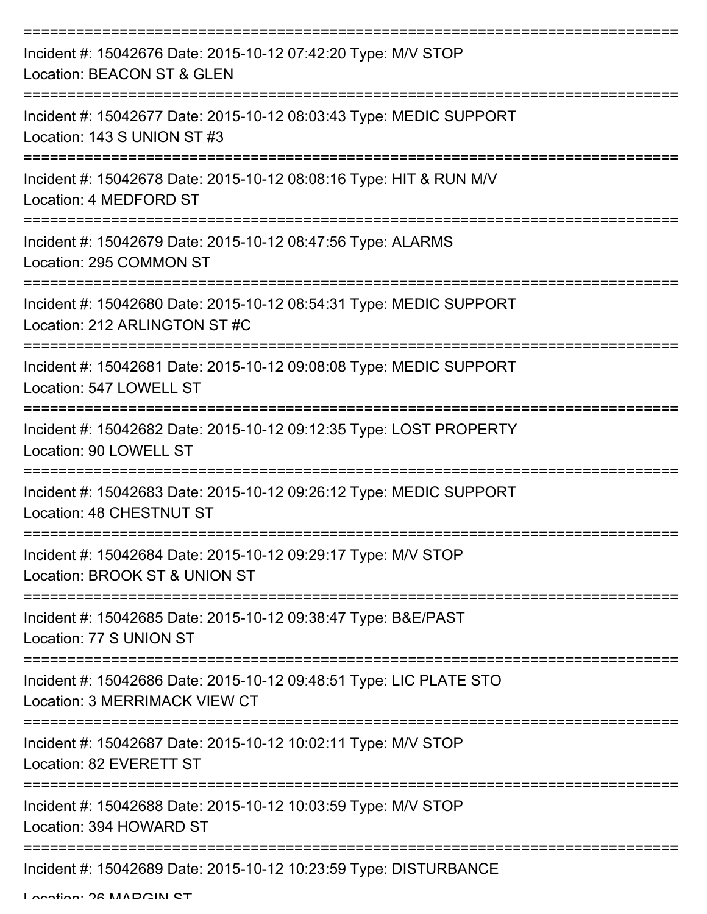| Incident #: 15042676 Date: 2015-10-12 07:42:20 Type: M/V STOP<br>Location: BEACON ST & GLEN         |
|-----------------------------------------------------------------------------------------------------|
| Incident #: 15042677 Date: 2015-10-12 08:03:43 Type: MEDIC SUPPORT<br>Location: 143 S UNION ST #3   |
| Incident #: 15042678 Date: 2015-10-12 08:08:16 Type: HIT & RUN M/V<br>Location: 4 MEDFORD ST        |
| Incident #: 15042679 Date: 2015-10-12 08:47:56 Type: ALARMS<br>Location: 295 COMMON ST              |
| Incident #: 15042680 Date: 2015-10-12 08:54:31 Type: MEDIC SUPPORT<br>Location: 212 ARLINGTON ST #C |
| Incident #: 15042681 Date: 2015-10-12 09:08:08 Type: MEDIC SUPPORT<br>Location: 547 LOWELL ST       |
| Incident #: 15042682 Date: 2015-10-12 09:12:35 Type: LOST PROPERTY<br>Location: 90 LOWELL ST        |
| Incident #: 15042683 Date: 2015-10-12 09:26:12 Type: MEDIC SUPPORT<br>Location: 48 CHESTNUT ST      |
| Incident #: 15042684 Date: 2015-10-12 09:29:17 Type: M/V STOP<br>Location: BROOK ST & UNION ST      |
| Incident #: 15042685 Date: 2015-10-12 09:38:47 Type: B&E/PAST<br>Location: 77 S UNION ST            |
| Incident #: 15042686 Date: 2015-10-12 09:48:51 Type: LIC PLATE STO<br>Location: 3 MERRIMACK VIEW CT |
| Incident #: 15042687 Date: 2015-10-12 10:02:11 Type: M/V STOP<br>Location: 82 EVERETT ST            |
| Incident #: 15042688 Date: 2015-10-12 10:03:59 Type: M/V STOP<br>Location: 394 HOWARD ST            |
| Incident #: 15042689 Date: 2015-10-12 10:23:59 Type: DISTURBANCE                                    |

Location: 26 MADCIN ST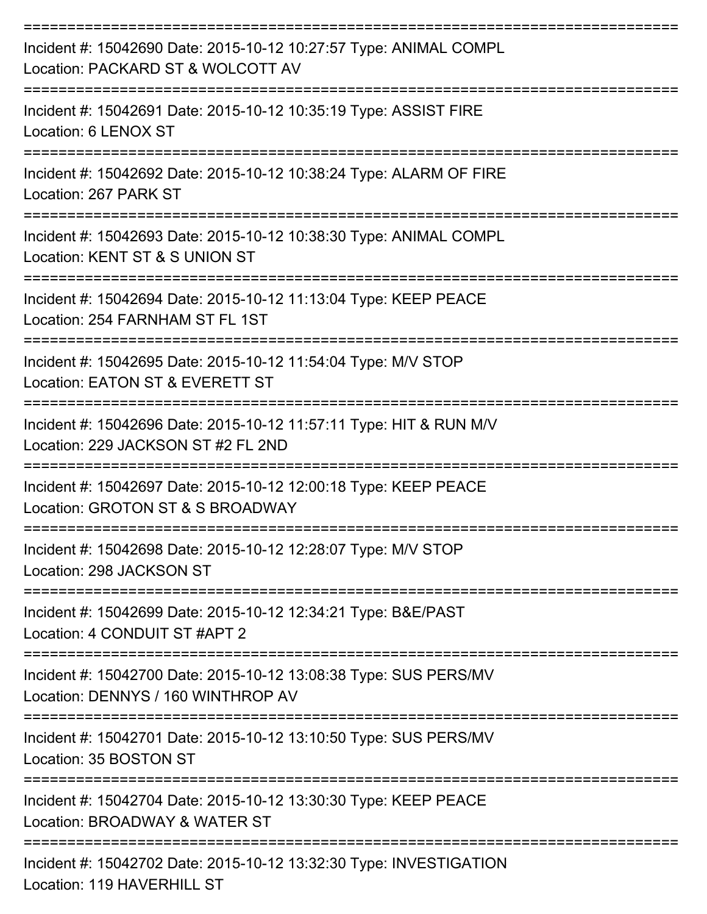| Incident #: 15042690 Date: 2015-10-12 10:27:57 Type: ANIMAL COMPL<br>Location: PACKARD ST & WOLCOTT AV                              |
|-------------------------------------------------------------------------------------------------------------------------------------|
| Incident #: 15042691 Date: 2015-10-12 10:35:19 Type: ASSIST FIRE<br>Location: 6 LENOX ST                                            |
| Incident #: 15042692 Date: 2015-10-12 10:38:24 Type: ALARM OF FIRE<br>Location: 267 PARK ST                                         |
| Incident #: 15042693 Date: 2015-10-12 10:38:30 Type: ANIMAL COMPL<br>Location: KENT ST & S UNION ST                                 |
| Incident #: 15042694 Date: 2015-10-12 11:13:04 Type: KEEP PEACE<br>Location: 254 FARNHAM ST FL 1ST                                  |
| Incident #: 15042695 Date: 2015-10-12 11:54:04 Type: M/V STOP<br>Location: EATON ST & EVERETT ST                                    |
| Incident #: 15042696 Date: 2015-10-12 11:57:11 Type: HIT & RUN M/V<br>Location: 229 JACKSON ST #2 FL 2ND                            |
| Incident #: 15042697 Date: 2015-10-12 12:00:18 Type: KEEP PEACE<br>Location: GROTON ST & S BROADWAY                                 |
| Incident #: 15042698 Date: 2015-10-12 12:28:07 Type: M/V STOP<br>Location: 298 JACKSON ST                                           |
| :=============<br>===============<br>Incident #: 15042699 Date: 2015-10-12 12:34:21 Type: B&E/PAST<br>Location: 4 CONDUIT ST #APT 2 |
| Incident #: 15042700 Date: 2015-10-12 13:08:38 Type: SUS PERS/MV<br>Location: DENNYS / 160 WINTHROP AV                              |
| Incident #: 15042701 Date: 2015-10-12 13:10:50 Type: SUS PERS/MV<br>Location: 35 BOSTON ST                                          |
| Incident #: 15042704 Date: 2015-10-12 13:30:30 Type: KEEP PEACE<br>Location: BROADWAY & WATER ST                                    |
| Incident #: 15042702 Date: 2015-10-12 13:32:30 Type: INVESTIGATION<br>Location: 119 HAVERHILL ST                                    |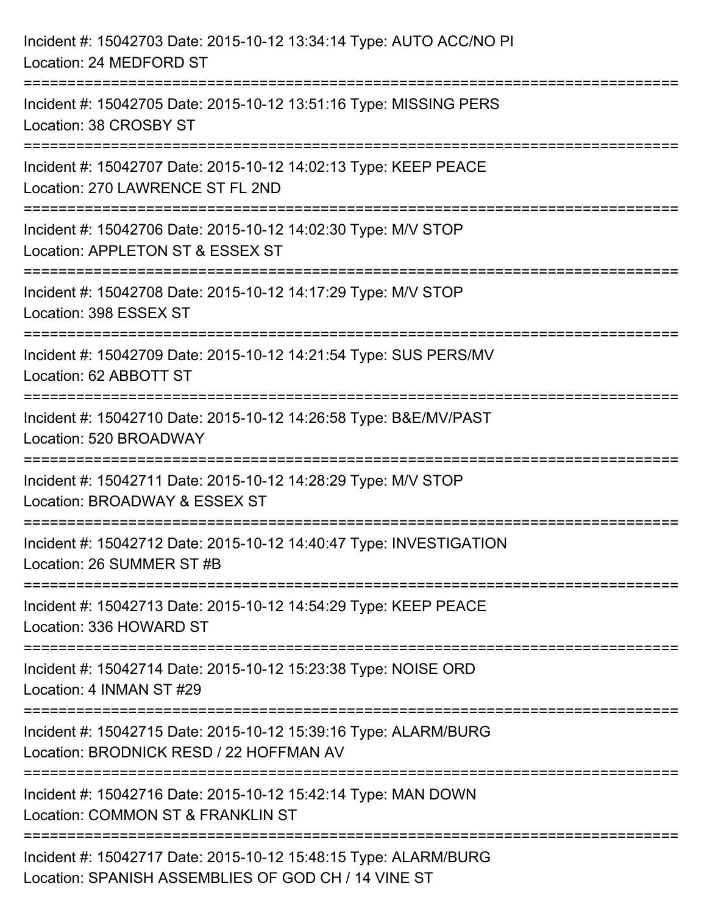| Incident #: 15042703 Date: 2015-10-12 13:34:14 Type: AUTO ACC/NO PI<br>Location: 24 MEDFORD ST                                     |
|------------------------------------------------------------------------------------------------------------------------------------|
| ===================================<br>Incident #: 15042705 Date: 2015-10-12 13:51:16 Type: MISSING PERS<br>Location: 38 CROSBY ST |
| Incident #: 15042707 Date: 2015-10-12 14:02:13 Type: KEEP PEACE<br>Location: 270 LAWRENCE ST FL 2ND                                |
| Incident #: 15042706 Date: 2015-10-12 14:02:30 Type: M/V STOP<br>Location: APPLETON ST & ESSEX ST                                  |
| Incident #: 15042708 Date: 2015-10-12 14:17:29 Type: M/V STOP<br>Location: 398 ESSEX ST                                            |
| Incident #: 15042709 Date: 2015-10-12 14:21:54 Type: SUS PERS/MV<br>Location: 62 ABBOTT ST                                         |
| Incident #: 15042710 Date: 2015-10-12 14:26:58 Type: B&E/MV/PAST<br>Location: 520 BROADWAY                                         |
| Incident #: 15042711 Date: 2015-10-12 14:28:29 Type: M/V STOP<br>Location: BROADWAY & ESSEX ST                                     |
| Incident #: 15042712 Date: 2015-10-12 14:40:47 Type: INVESTIGATION<br>Location: 26 SUMMER ST #B                                    |
| Incident #: 15042713 Date: 2015-10-12 14:54:29 Type: KEEP PEACE<br>Location: 336 HOWARD ST                                         |
| Incident #: 15042714 Date: 2015-10-12 15:23:38 Type: NOISE ORD<br>Location: 4 INMAN ST #29                                         |
| Incident #: 15042715 Date: 2015-10-12 15:39:16 Type: ALARM/BURG<br>Location: BRODNICK RESD / 22 HOFFMAN AV                         |
| Incident #: 15042716 Date: 2015-10-12 15:42:14 Type: MAN DOWN<br>Location: COMMON ST & FRANKLIN ST                                 |
| Incident #: 15042717 Date: 2015-10-12 15:48:15 Type: ALARM/BURG<br>Location: SPANISH ASSEMBLIES OF GOD CH / 14 VINE ST             |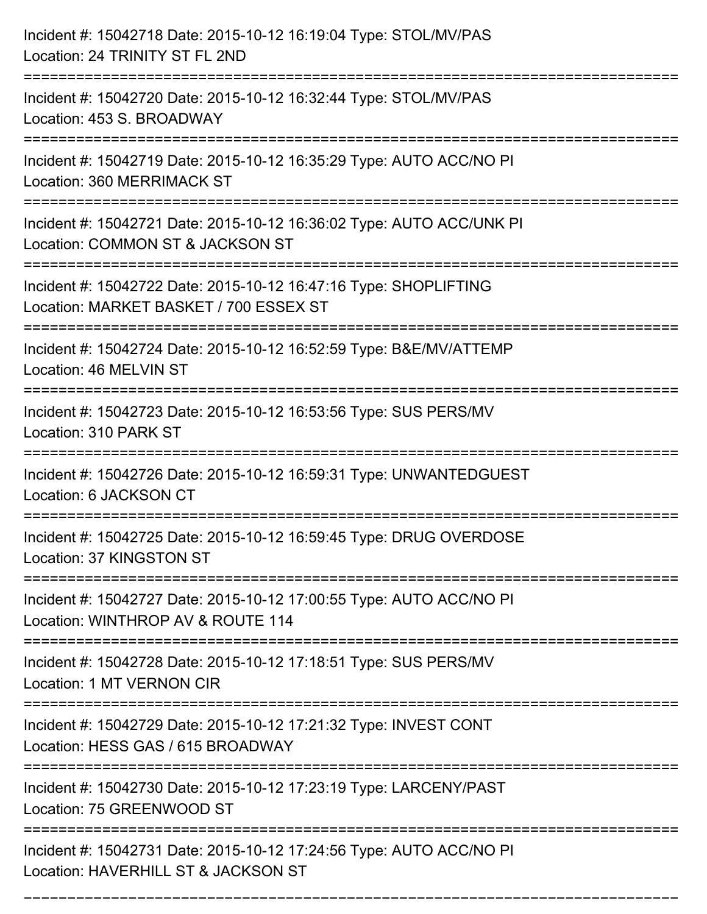| Incident #: 15042718 Date: 2015-10-12 16:19:04 Type: STOL/MV/PAS<br>Location: 24 TRINITY ST FL 2ND                                     |
|----------------------------------------------------------------------------------------------------------------------------------------|
| Incident #: 15042720 Date: 2015-10-12 16:32:44 Type: STOL/MV/PAS<br>Location: 453 S. BROADWAY<br>===================================== |
| Incident #: 15042719 Date: 2015-10-12 16:35:29 Type: AUTO ACC/NO PI<br><b>Location: 360 MERRIMACK ST</b>                               |
| Incident #: 15042721 Date: 2015-10-12 16:36:02 Type: AUTO ACC/UNK PI<br>Location: COMMON ST & JACKSON ST                               |
| Incident #: 15042722 Date: 2015-10-12 16:47:16 Type: SHOPLIFTING<br>Location: MARKET BASKET / 700 ESSEX ST                             |
| Incident #: 15042724 Date: 2015-10-12 16:52:59 Type: B&E/MV/ATTEMP<br>Location: 46 MELVIN ST                                           |
| Incident #: 15042723 Date: 2015-10-12 16:53:56 Type: SUS PERS/MV<br>Location: 310 PARK ST                                              |
| Incident #: 15042726 Date: 2015-10-12 16:59:31 Type: UNWANTEDGUEST<br>Location: 6 JACKSON CT                                           |
| Incident #: 15042725 Date: 2015-10-12 16:59:45 Type: DRUG OVERDOSE<br>Location: 37 KINGSTON ST                                         |
| Incident #: 15042727 Date: 2015-10-12 17:00:55 Type: AUTO ACC/NO PI<br>Location: WINTHROP AV & ROUTE 114                               |
| Incident #: 15042728 Date: 2015-10-12 17:18:51 Type: SUS PERS/MV<br>Location: 1 MT VERNON CIR                                          |
| Incident #: 15042729 Date: 2015-10-12 17:21:32 Type: INVEST CONT<br>Location: HESS GAS / 615 BROADWAY                                  |
| Incident #: 15042730 Date: 2015-10-12 17:23:19 Type: LARCENY/PAST<br>Location: 75 GREENWOOD ST                                         |
| Incident #: 15042731 Date: 2015-10-12 17:24:56 Type: AUTO ACC/NO PI<br>Location: HAVERHILL ST & JACKSON ST                             |

===========================================================================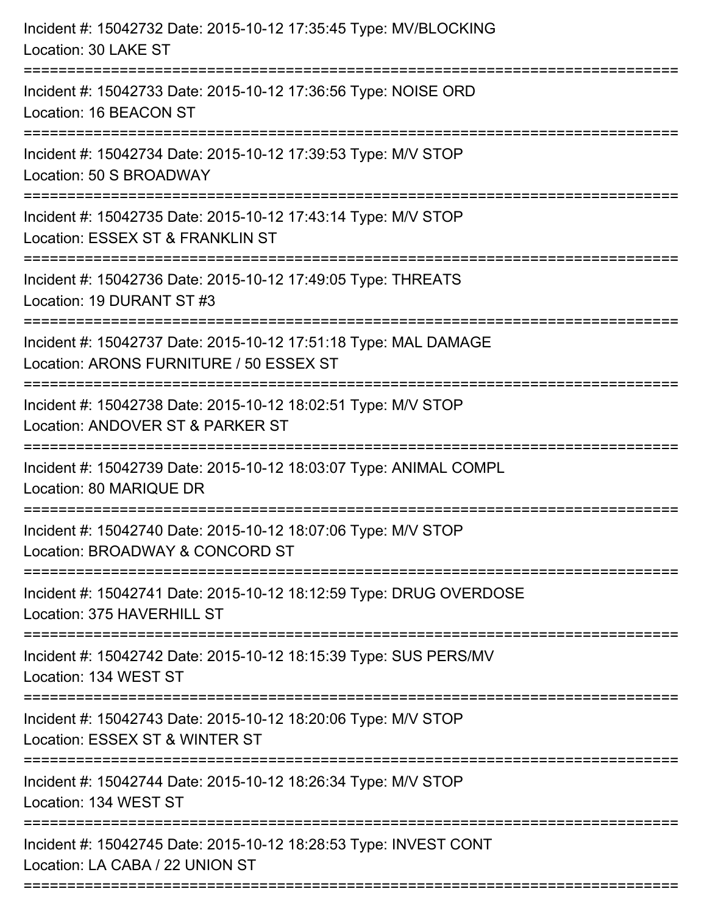| Incident #: 15042732 Date: 2015-10-12 17:35:45 Type: MV/BLOCKING<br>Location: 30 LAKE ST                                          |
|-----------------------------------------------------------------------------------------------------------------------------------|
| ===================<br>Incident #: 15042733 Date: 2015-10-12 17:36:56 Type: NOISE ORD<br>Location: 16 BEACON ST                   |
| Incident #: 15042734 Date: 2015-10-12 17:39:53 Type: M/V STOP<br>Location: 50 S BROADWAY                                          |
| Incident #: 15042735 Date: 2015-10-12 17:43:14 Type: M/V STOP<br>Location: ESSEX ST & FRANKLIN ST<br>=======================      |
| Incident #: 15042736 Date: 2015-10-12 17:49:05 Type: THREATS<br>Location: 19 DURANT ST #3                                         |
| Incident #: 15042737 Date: 2015-10-12 17:51:18 Type: MAL DAMAGE<br>Location: ARONS FURNITURE / 50 ESSEX ST                        |
| :===========================<br>Incident #: 15042738 Date: 2015-10-12 18:02:51 Type: M/V STOP<br>Location: ANDOVER ST & PARKER ST |
| Incident #: 15042739 Date: 2015-10-12 18:03:07 Type: ANIMAL COMPL<br>Location: 80 MARIQUE DR                                      |
| Incident #: 15042740 Date: 2015-10-12 18:07:06 Type: M/V STOP<br>Location: BROADWAY & CONCORD ST                                  |
| Incident #: 15042741 Date: 2015-10-12 18:12:59 Type: DRUG OVERDOSE<br>Location: 375 HAVERHILL ST                                  |
| Incident #: 15042742 Date: 2015-10-12 18:15:39 Type: SUS PERS/MV<br>Location: 134 WEST ST                                         |
| Incident #: 15042743 Date: 2015-10-12 18:20:06 Type: M/V STOP<br>Location: ESSEX ST & WINTER ST                                   |
| Incident #: 15042744 Date: 2015-10-12 18:26:34 Type: M/V STOP<br>Location: 134 WEST ST                                            |
| Incident #: 15042745 Date: 2015-10-12 18:28:53 Type: INVEST CONT<br>Location: LA CABA / 22 UNION ST                               |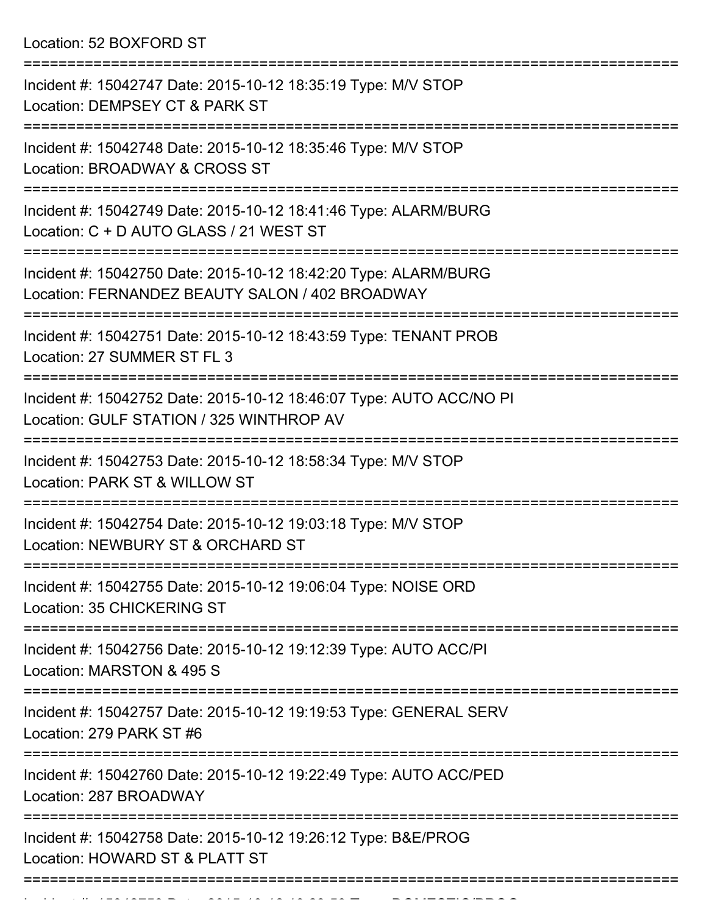Location: 52 BOXFORD ST

| Incident #: 15042747 Date: 2015-10-12 18:35:19 Type: M/V STOP<br>Location: DEMPSEY CT & PARK ST                    |
|--------------------------------------------------------------------------------------------------------------------|
| Incident #: 15042748 Date: 2015-10-12 18:35:46 Type: M/V STOP<br>Location: BROADWAY & CROSS ST                     |
| Incident #: 15042749 Date: 2015-10-12 18:41:46 Type: ALARM/BURG<br>Location: C + D AUTO GLASS / 21 WEST ST         |
| Incident #: 15042750 Date: 2015-10-12 18:42:20 Type: ALARM/BURG<br>Location: FERNANDEZ BEAUTY SALON / 402 BROADWAY |
| Incident #: 15042751 Date: 2015-10-12 18:43:59 Type: TENANT PROB<br>Location: 27 SUMMER ST FL 3                    |
| Incident #: 15042752 Date: 2015-10-12 18:46:07 Type: AUTO ACC/NO PI<br>Location: GULF STATION / 325 WINTHROP AV    |
| Incident #: 15042753 Date: 2015-10-12 18:58:34 Type: M/V STOP<br>Location: PARK ST & WILLOW ST                     |
| Incident #: 15042754 Date: 2015-10-12 19:03:18 Type: M/V STOP<br>Location: NEWBURY ST & ORCHARD ST                 |
| Incident #: 15042755 Date: 2015-10-12 19:06:04 Type: NOISE ORD<br>Location: 35 CHICKERING ST                       |
| ===============<br>Incident #: 15042756 Date: 2015-10-12 19:12:39 Type: AUTO ACC/PI<br>Location: MARSTON & 495 S   |
| Incident #: 15042757 Date: 2015-10-12 19:19:53 Type: GENERAL SERV<br>Location: 279 PARK ST #6                      |
| Incident #: 15042760 Date: 2015-10-12 19:22:49 Type: AUTO ACC/PED<br>Location: 287 BROADWAY                        |
| Incident #: 15042758 Date: 2015-10-12 19:26:12 Type: B&E/PROG<br>Location: HOWARD ST & PLATT ST                    |
|                                                                                                                    |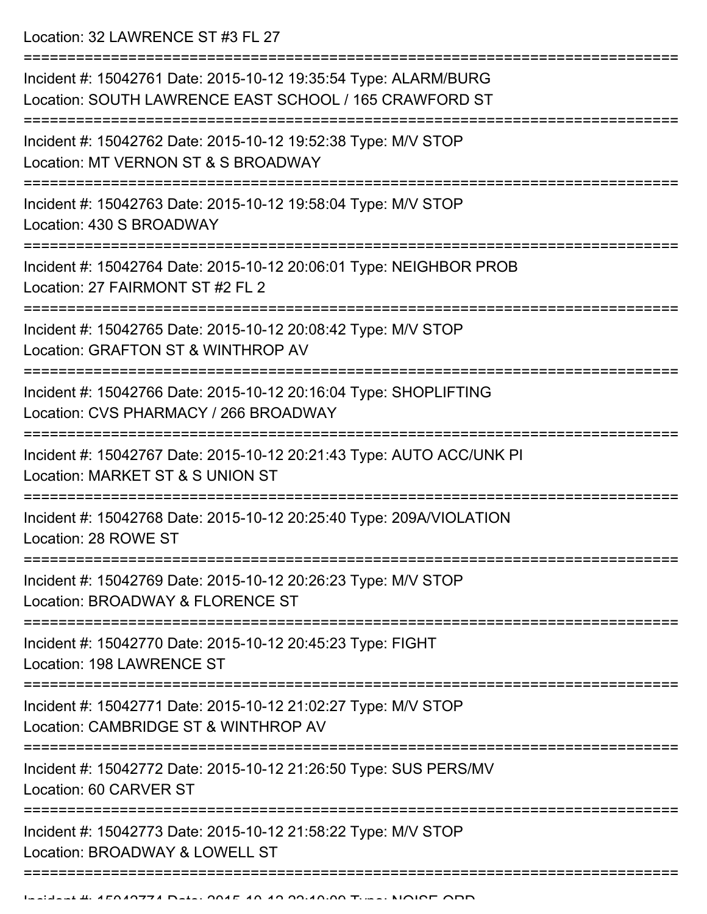Location: 32 LAWRENCE ST #3 FL 27

| Incident #: 15042761 Date: 2015-10-12 19:35:54 Type: ALARM/BURG<br>Location: SOUTH LAWRENCE EAST SCHOOL / 165 CRAWFORD ST     |
|-------------------------------------------------------------------------------------------------------------------------------|
| Incident #: 15042762 Date: 2015-10-12 19:52:38 Type: M/V STOP<br>Location: MT VERNON ST & S BROADWAY                          |
| Incident #: 15042763 Date: 2015-10-12 19:58:04 Type: M/V STOP<br>Location: 430 S BROADWAY                                     |
| Incident #: 15042764 Date: 2015-10-12 20:06:01 Type: NEIGHBOR PROB<br>Location: 27 FAIRMONT ST #2 FL 2                        |
| Incident #: 15042765 Date: 2015-10-12 20:08:42 Type: M/V STOP<br>Location: GRAFTON ST & WINTHROP AV                           |
| Incident #: 15042766 Date: 2015-10-12 20:16:04 Type: SHOPLIFTING<br>Location: CVS PHARMACY / 266 BROADWAY                     |
| Incident #: 15042767 Date: 2015-10-12 20:21:43 Type: AUTO ACC/UNK PI<br>Location: MARKET ST & S UNION ST                      |
| Incident #: 15042768 Date: 2015-10-12 20:25:40 Type: 209A/VIOLATION<br>Location: 28 ROWE ST                                   |
| Incident #: 15042769 Date: 2015-10-12 20:26:23 Type: M/V STOP<br>Location: BROADWAY & FLORENCE ST                             |
| Incident #: 15042770 Date: 2015-10-12 20:45:23 Type: FIGHT<br>Location: 198 LAWRENCE ST                                       |
| --------------------<br>Incident #: 15042771 Date: 2015-10-12 21:02:27 Type: M/V STOP<br>Location: CAMBRIDGE ST & WINTHROP AV |
| Incident #: 15042772 Date: 2015-10-12 21:26:50 Type: SUS PERS/MV<br>Location: 60 CARVER ST                                    |
| Incident #: 15042773 Date: 2015-10-12 21:58:22 Type: M/V STOP<br>Location: BROADWAY & LOWELL ST                               |
|                                                                                                                               |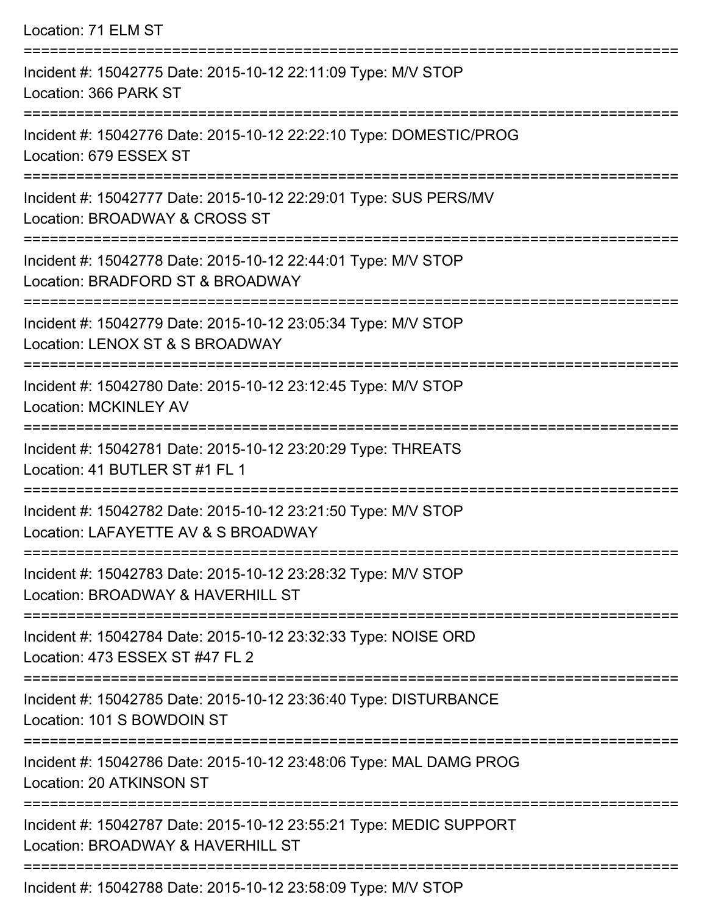| Location: 71 ELM ST                                                                                                                   |
|---------------------------------------------------------------------------------------------------------------------------------------|
| Incident #: 15042775 Date: 2015-10-12 22:11:09 Type: M/V STOP<br>Location: 366 PARK ST                                                |
| Incident #: 15042776 Date: 2015-10-12 22:22:10 Type: DOMESTIC/PROG<br>Location: 679 ESSEX ST                                          |
| Incident #: 15042777 Date: 2015-10-12 22:29:01 Type: SUS PERS/MV<br>Location: BROADWAY & CROSS ST                                     |
| Incident #: 15042778 Date: 2015-10-12 22:44:01 Type: M/V STOP<br>Location: BRADFORD ST & BROADWAY                                     |
| Incident #: 15042779 Date: 2015-10-12 23:05:34 Type: M/V STOP<br>Location: LENOX ST & S BROADWAY                                      |
| :===================================<br>Incident #: 15042780 Date: 2015-10-12 23:12:45 Type: M/V STOP<br><b>Location: MCKINLEY AV</b> |
| Incident #: 15042781 Date: 2015-10-12 23:20:29 Type: THREATS<br>Location: 41 BUTLER ST #1 FL 1                                        |
| Incident #: 15042782 Date: 2015-10-12 23:21:50 Type: M/V STOP<br>Location: LAFAYETTE AV & S BROADWAY                                  |
| Incident #: 15042783 Date: 2015-10-12 23:28:32 Type: M/V STOP<br>Location: BROADWAY & HAVERHILL ST                                    |
| Incident #: 15042784 Date: 2015-10-12 23:32:33 Type: NOISE ORD<br>Location: 473 ESSEX ST #47 FL 2                                     |
| Incident #: 15042785 Date: 2015-10-12 23:36:40 Type: DISTURBANCE<br>Location: 101 S BOWDOIN ST                                        |
| Incident #: 15042786 Date: 2015-10-12 23:48:06 Type: MAL DAMG PROG<br>Location: 20 ATKINSON ST                                        |
| Incident #: 15042787 Date: 2015-10-12 23:55:21 Type: MEDIC SUPPORT<br>Location: BROADWAY & HAVERHILL ST                               |
| Incident #: 15042788 Date: 2015-10-12 23:58:09 Type: M/V STOP                                                                         |